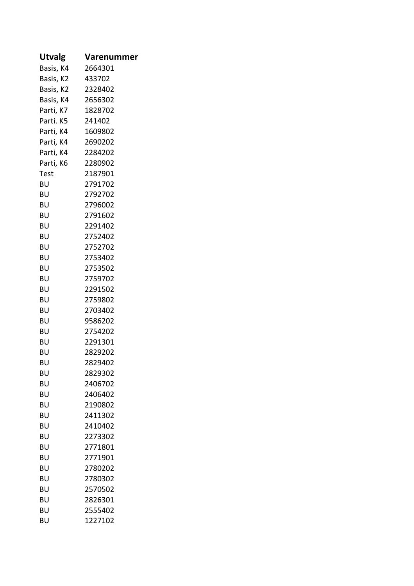| Utvalg            | Varenummer |
|-------------------|------------|
| Basis, K4         | 2664301    |
| Basis, K2         | 433702     |
| Basis, K2         | 2328402    |
| Basis, K4 2656302 |            |
| Parti, K7         | 1828702    |
| Parti. K5         | 241402     |
| Parti, K4         | 1609802    |
| Parti, K4         | 2690202    |
| Parti, K4         | 2284202    |
| Parti, K6         | 2280902    |
| Test              | 2187901    |
| BU                | 2791702    |
| BU                | 2792702    |
| BU                | 2796002    |
| ΒU                | 2791602    |
| BU                | 2291402    |
| BU                | 2752402    |
| BU                | 2752702    |
| BU                | 2753402    |
| BU                | 2753502    |
| BU                | 2759702    |
| BU                | 2291502    |
| BU                | 2759802    |
| BU                | 2703402    |
| BU                | 9586202    |
| BU                | 2754202    |
| BU                | 2291301    |
| BU                | 2829202    |
| BU                | 2829402    |
| BU                | 2829302    |
| BU                | 2406702    |
| BU                | 2406402    |
| BU                | 2190802    |
| BU                | 2411302    |
| BU                | 2410402    |
| BU                | 2273302    |
| BU                | 2771801    |
| BU                | 2771901    |
| BU                | 2780202    |
| BU                | 2780302    |
| BU                | 2570502    |
| BU                | 2826301    |
| BU                | 2555402    |
| BU                | 1227102    |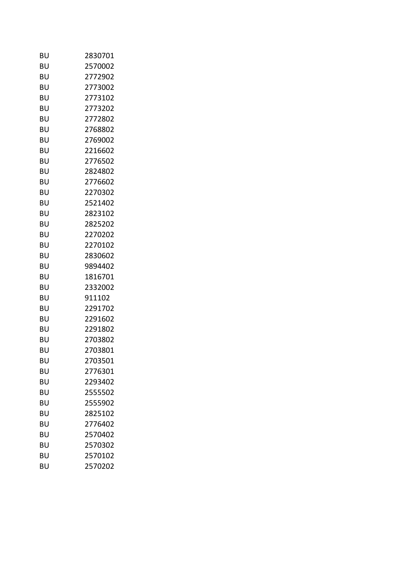| BU | 2830701 |  |
|----|---------|--|
| BU | 2570002 |  |
| BU | 2772902 |  |
| BU | 2773002 |  |
| BU | 2773102 |  |
| BU | 2773202 |  |
| BU | 2772802 |  |
| BU | 2768802 |  |
| BU | 2769002 |  |
| BU | 2216602 |  |
| BU | 2776502 |  |
| BU | 2824802 |  |
| BU | 2776602 |  |
| BU | 2270302 |  |
| BU | 2521402 |  |
| BU | 2823102 |  |
| BU | 2825202 |  |
| BU | 2270202 |  |
| BU | 2270102 |  |
| BU | 2830602 |  |
| BU | 9894402 |  |
| BU | 1816701 |  |
| BU | 2332002 |  |
| BU | 911102  |  |
| BU | 2291702 |  |
| BU | 2291602 |  |
| BU | 2291802 |  |
| BU | 2703802 |  |
| BU | 2703801 |  |
| BU | 2703501 |  |
| BU | 2776301 |  |
| BU | 2293402 |  |
| BU | 2555502 |  |
| BU | 2555902 |  |
| BU | 2825102 |  |
| BU | 2776402 |  |
| BU | 2570402 |  |
| BU | 2570302 |  |
| BU | 2570102 |  |
| BU | 2570202 |  |
|    |         |  |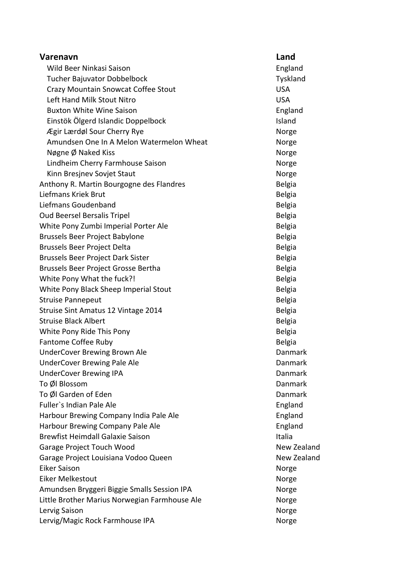| Varenavn                                      | Land           |
|-----------------------------------------------|----------------|
| Wild Beer Ninkasi Saison                      | England        |
| Tucher Bajuvator Dobbelbock                   | Tyskland       |
| Crazy Mountain Snowcat Coffee Stout           | <b>USA</b>     |
| Left Hand Milk Stout Nitro                    | <b>USA</b>     |
| <b>Buxton White Wine Saison</b>               | England        |
| Einstök Ölgerd Islandic Doppelbock            | Island         |
| Ægir Lærdøl Sour Cherry Rye                   | Norge          |
| Amundsen One In A Melon Watermelon Wheat      | Norge          |
| Nøgne Ø Naked Kiss                            | Norge          |
| Lindheim Cherry Farmhouse Saison              | Norge          |
| Kinn Bresjnev Sovjet Staut                    | Norge          |
| Anthony R. Martin Bourgogne des Flandres      | <b>Belgia</b>  |
| Liefmans Kriek Brut                           | <b>Belgia</b>  |
| Liefmans Goudenband                           | <b>Belgia</b>  |
| Oud Beersel Bersalis Tripel                   | <b>Belgia</b>  |
| White Pony Zumbi Imperial Porter Ale          | <b>Belgia</b>  |
| Brussels Beer Project Babylone                | <b>Belgia</b>  |
| Brussels Beer Project Delta                   | <b>Belgia</b>  |
| Brussels Beer Project Dark Sister             | <b>Belgia</b>  |
| Brussels Beer Project Grosse Bertha           | <b>Belgia</b>  |
| White Pony What the fuck?!                    | <b>Belgia</b>  |
| White Pony Black Sheep Imperial Stout         | <b>Belgia</b>  |
| <b>Struise Pannepeut</b>                      | <b>Belgia</b>  |
| Struise Sint Amatus 12 Vintage 2014           | <b>Belgia</b>  |
| <b>Struise Black Albert</b>                   | <b>Belgia</b>  |
| White Pony Ride This Pony                     | <b>Belgia</b>  |
| Fantome Coffee Ruby                           | <b>Belgia</b>  |
| UnderCover Brewing Brown Ale                  | Danmark        |
| <b>UnderCover Brewing Pale Ale</b>            | Danmark        |
| <b>UnderCover Brewing IPA</b>                 | Danmark        |
| To Øl Blossom                                 | <b>Danmark</b> |
| To Øl Garden of Eden                          | Danmark        |
| Fuller's Indian Pale Ale                      | England        |
| Harbour Brewing Company India Pale Ale        | England        |
| Harbour Brewing Company Pale Ale              | England        |
| <b>Brewfist Heimdall Galaxie Saison</b>       | Italia         |
| Garage Project Touch Wood                     | New Zealand    |
| Garage Project Louisiana Vodoo Queen          | New Zealand    |
| <b>Eiker Saison</b>                           | Norge          |
| <b>Eiker Melkestout</b>                       | Norge          |
| Amundsen Bryggeri Biggie Smalls Session IPA   | Norge          |
| Little Brother Marius Norwegian Farmhouse Ale | Norge          |
| Lervig Saison                                 | Norge          |
| Lervig/Magic Rock Farmhouse IPA               | Norge          |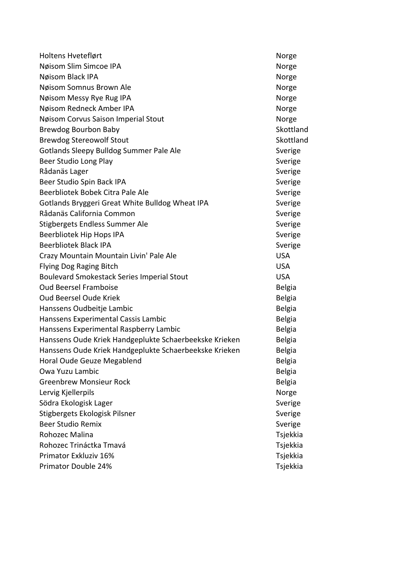| Holtens Hveteflørt                                     | Norge         |
|--------------------------------------------------------|---------------|
| Nøisom Slim Simcoe IPA                                 | Norge         |
| Nøisom Black IPA                                       | Norge         |
| Nøisom Somnus Brown Ale                                | Norge         |
| Nøisom Messy Rye Rug IPA                               | Norge         |
| Nøisom Redneck Amber IPA                               | Norge         |
| Nøisom Corvus Saison Imperial Stout                    | Norge         |
| Brewdog Bourbon Baby                                   | Skottland     |
| <b>Brewdog Stereowolf Stout</b>                        | Skottland     |
| Gotlands Sleepy Bulldog Summer Pale Ale                | Sverige       |
| Beer Studio Long Play                                  | Sverige       |
| Rådanäs Lager                                          | Sverige       |
| Beer Studio Spin Back IPA                              | Sverige       |
| Beerbliotek Bobek Citra Pale Ale                       | Sverige       |
| Gotlands Bryggeri Great White Bulldog Wheat IPA        | Sverige       |
| Rådanäs California Common                              | Sverige       |
| Stigbergets Endless Summer Ale                         | Sverige       |
| Beerbliotek Hip Hops IPA                               | Sverige       |
| <b>Beerbliotek Black IPA</b>                           | Sverige       |
| Crazy Mountain Mountain Livin' Pale Ale                | <b>USA</b>    |
| Flying Dog Raging Bitch                                | <b>USA</b>    |
| <b>Boulevard Smokestack Series Imperial Stout</b>      | <b>USA</b>    |
| <b>Oud Beersel Framboise</b>                           | <b>Belgia</b> |
| <b>Oud Beersel Oude Kriek</b>                          | <b>Belgia</b> |
| Hanssens Oudbeitje Lambic                              | <b>Belgia</b> |
| Hanssens Experimental Cassis Lambic                    | <b>Belgia</b> |
| Hanssens Experimental Raspberry Lambic                 | <b>Belgia</b> |
| Hanssens Oude Kriek Handgeplukte Schaerbeekske Krieken | <b>Belgia</b> |
| Hanssens Oude Kriek Handgeplukte Schaerbeekske Krieken | <b>Belgia</b> |
| Horal Oude Geuze Megablend                             | Belgia        |
| Owa Yuzu Lambic                                        | <b>Belgia</b> |
| <b>Greenbrew Monsieur Rock</b>                         | <b>Belgia</b> |
| Lervig Kjellerpils                                     | Norge         |
| Södra Ekologisk Lager                                  | Sverige       |
| Stigbergets Ekologisk Pilsner                          | Sverige       |
| <b>Beer Studio Remix</b>                               | Sverige       |
| Rohozec Malina                                         | Tsjekkia      |
| Rohozec Trináctka Tmavá                                | Tsjekkia      |
| Primator Exkluziv 16%                                  | Tsjekkia      |
| Primator Double 24%                                    | Tsjekkia      |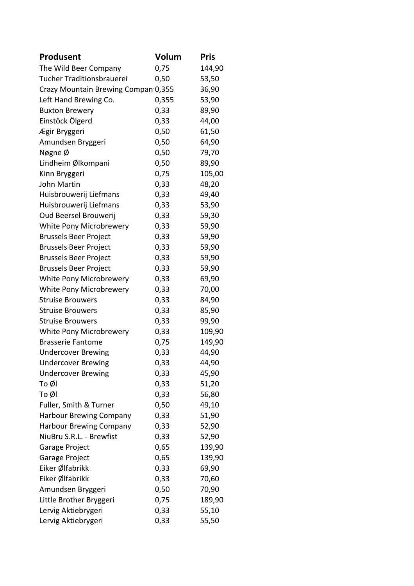| Produsent                           | Volum | <b>Pris</b> |
|-------------------------------------|-------|-------------|
| The Wild Beer Company               | 0,75  | 144,90      |
| Tucher Traditionsbrauerei           | 0,50  | 53,50       |
| Crazy Mountain Brewing Compan 0,355 |       | 36,90       |
| Left Hand Brewing Co.               | 0,355 | 53,90       |
| <b>Buxton Brewery</b>               | 0,33  | 89,90       |
| Einstöck Ölgerd                     | 0,33  | 44,00       |
| Ægir Bryggeri                       | 0,50  | 61,50       |
| Amundsen Bryggeri                   | 0,50  | 64,90       |
| Nøgne Ø                             | 0,50  | 79,70       |
| Lindheim Ølkompani                  | 0,50  | 89,90       |
| Kinn Bryggeri                       | 0,75  | 105,00      |
| <b>John Martin</b>                  | 0,33  | 48,20       |
| Huisbrouwerij Liefmans              | 0,33  | 49,40       |
| Huisbrouwerij Liefmans              | 0,33  | 53,90       |
| Oud Beersel Brouwerij               | 0,33  | 59,30       |
| White Pony Microbrewery             | 0,33  | 59,90       |
| <b>Brussels Beer Project</b>        | 0,33  | 59,90       |
| <b>Brussels Beer Project</b>        | 0,33  | 59,90       |
| <b>Brussels Beer Project</b>        | 0,33  | 59,90       |
| <b>Brussels Beer Project</b>        | 0,33  | 59,90       |
| White Pony Microbrewery             | 0,33  | 69,90       |
| White Pony Microbrewery             | 0,33  | 70,00       |
| <b>Struise Brouwers</b>             | 0,33  | 84,90       |
| <b>Struise Brouwers</b>             | 0,33  | 85,90       |
| <b>Struise Brouwers</b>             | 0,33  | 99,90       |
| White Pony Microbrewery             | 0,33  | 109,90      |
| <b>Brasserie Fantome</b>            | 0,75  | 149,90      |
| <b>Undercover Brewing</b>           | 0,33  | 44,90       |
| <b>Undercover Brewing</b>           | 0,33  | 44,90       |
| <b>Undercover Brewing</b>           | 0,33  | 45,90       |
| To Øl                               | 0,33  | 51,20       |
| To Øl                               | 0,33  | 56,80       |
| Fuller, Smith & Turner              | 0,50  | 49,10       |
| <b>Harbour Brewing Company</b>      | 0,33  | 51,90       |
| <b>Harbour Brewing Company</b>      | 0,33  | 52,90       |
| NiuBru S.R.L. - Brewfist            | 0,33  | 52,90       |
| Garage Project                      | 0,65  | 139,90      |
| Garage Project                      | 0,65  | 139,90      |
| Eiker Ølfabrikk                     | 0,33  | 69,90       |
| Eiker Ølfabrikk                     | 0,33  | 70,60       |
| Amundsen Bryggeri                   | 0,50  | 70,90       |
| Little Brother Bryggeri             | 0,75  | 189,90      |
| Lervig Aktiebrygeri                 | 0,33  | 55,10       |
| Lervig Aktiebrygeri                 | 0,33  | 55,50       |